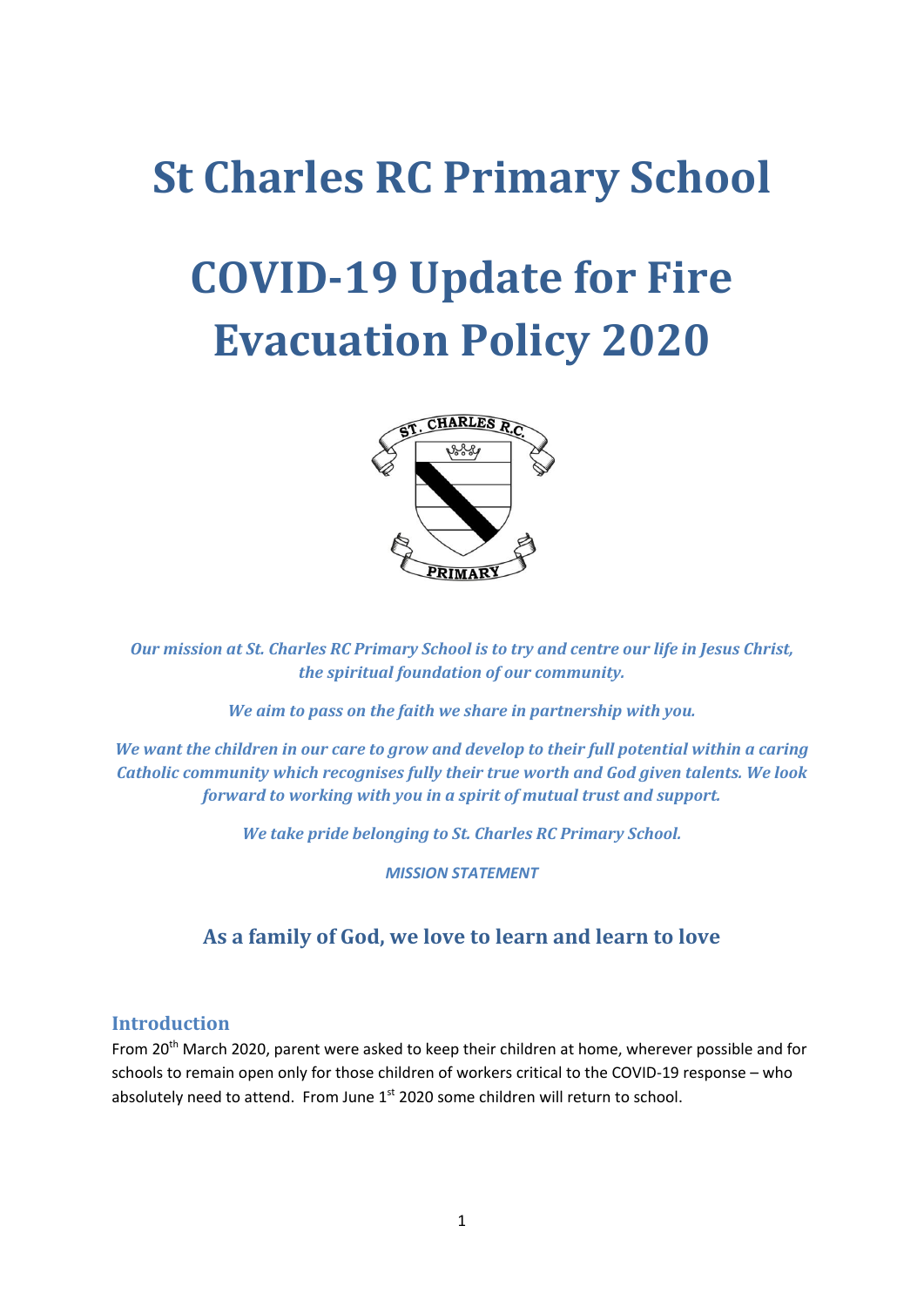# **St Charles RC Primary School**

# **COVID-19 Update for Fire Evacuation Policy 2020**



*Our mission at St. Charles RC Primary School is to try and centre our life in Jesus Christ, the spiritual foundation of our community.*

*We aim to pass on the faith we share in partnership with you.*

*We want the children in our care to grow and develop to their full potential within a caring Catholic community which recognises fully their true worth and God given talents. We look forward to working with you in a spirit of mutual trust and support.*

*We take pride belonging to St. Charles RC Primary School.*

*MISSION STATEMENT*

# **As a family of God, we love to learn and learn to love**

#### **Introduction**

From 20<sup>th</sup> March 2020, parent were asked to keep their children at home, wherever possible and for schools to remain open only for those children of workers critical to the COVID-19 response – who absolutely need to attend. From June 1<sup>st</sup> 2020 some children will return to school.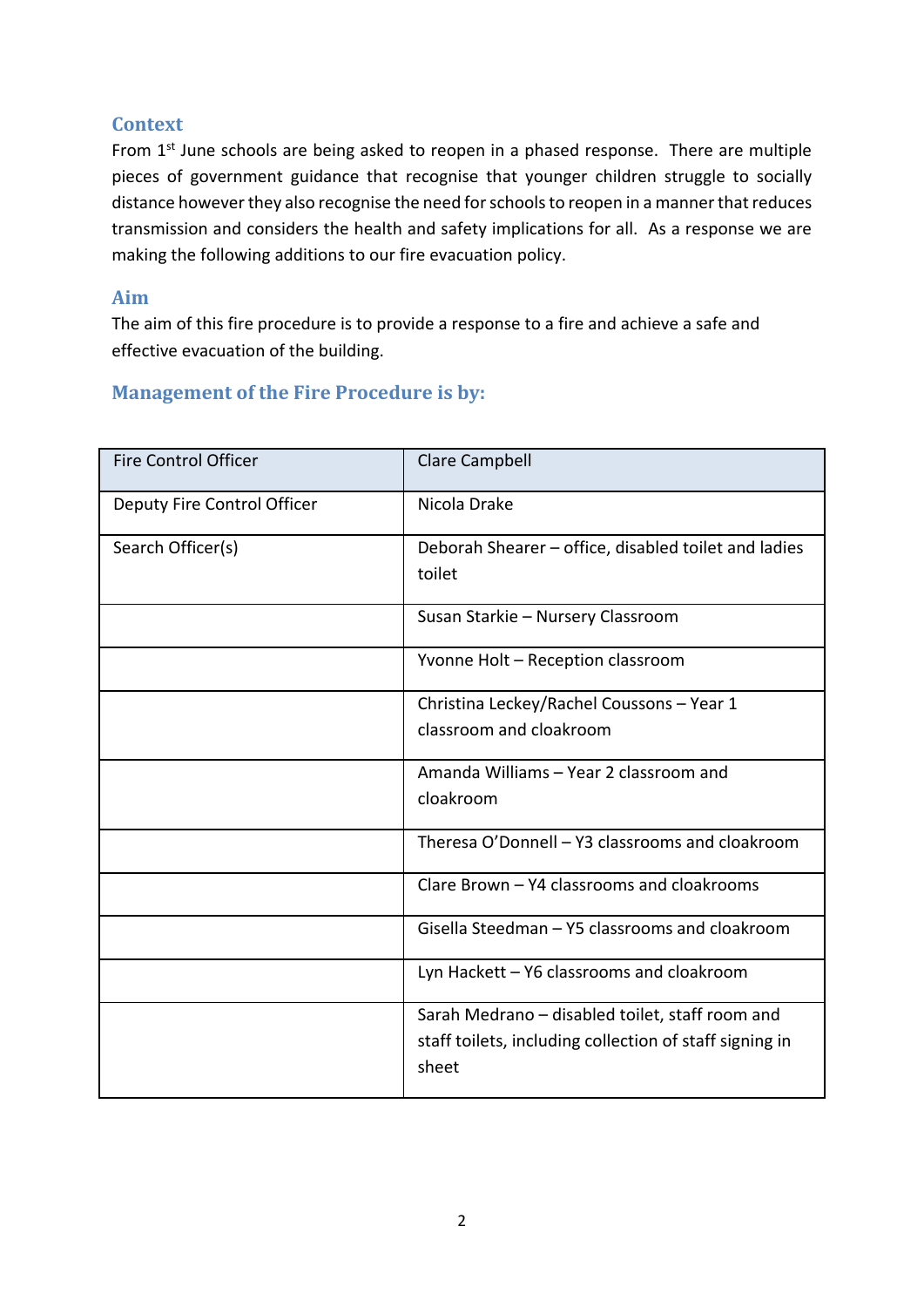# **Context**

From 1<sup>st</sup> June schools are being asked to reopen in a phased response. There are multiple pieces of government guidance that recognise that younger children struggle to socially distance however they also recognise the need for schools to reopen in a manner that reduces transmission and considers the health and safety implications for all. As a response we are making the following additions to our fire evacuation policy.

#### **Aim**

The aim of this fire procedure is to provide a response to a fire and achieve a safe and effective evacuation of the building.

| <b>Fire Control Officer</b> | <b>Clare Campbell</b>                                          |
|-----------------------------|----------------------------------------------------------------|
| Deputy Fire Control Officer | Nicola Drake                                                   |
| Search Officer(s)           | Deborah Shearer - office, disabled toilet and ladies<br>toilet |
|                             | Susan Starkie - Nursery Classroom                              |
|                             | Yvonne Holt - Reception classroom                              |
|                             | Christina Leckey/Rachel Coussons - Year 1                      |
|                             | classroom and cloakroom                                        |
|                             | Amanda Williams - Year 2 classroom and                         |
|                             | cloakroom                                                      |
|                             | Theresa O'Donnell - Y3 classrooms and cloakroom                |
|                             | Clare Brown - Y4 classrooms and cloakrooms                     |
|                             | Gisella Steedman - Y5 classrooms and cloakroom                 |
|                             | Lyn Hackett - Y6 classrooms and cloakroom                      |
|                             | Sarah Medrano - disabled toilet, staff room and                |
|                             | staff toilets, including collection of staff signing in        |
|                             | sheet                                                          |

# **Management of the Fire Procedure is by:**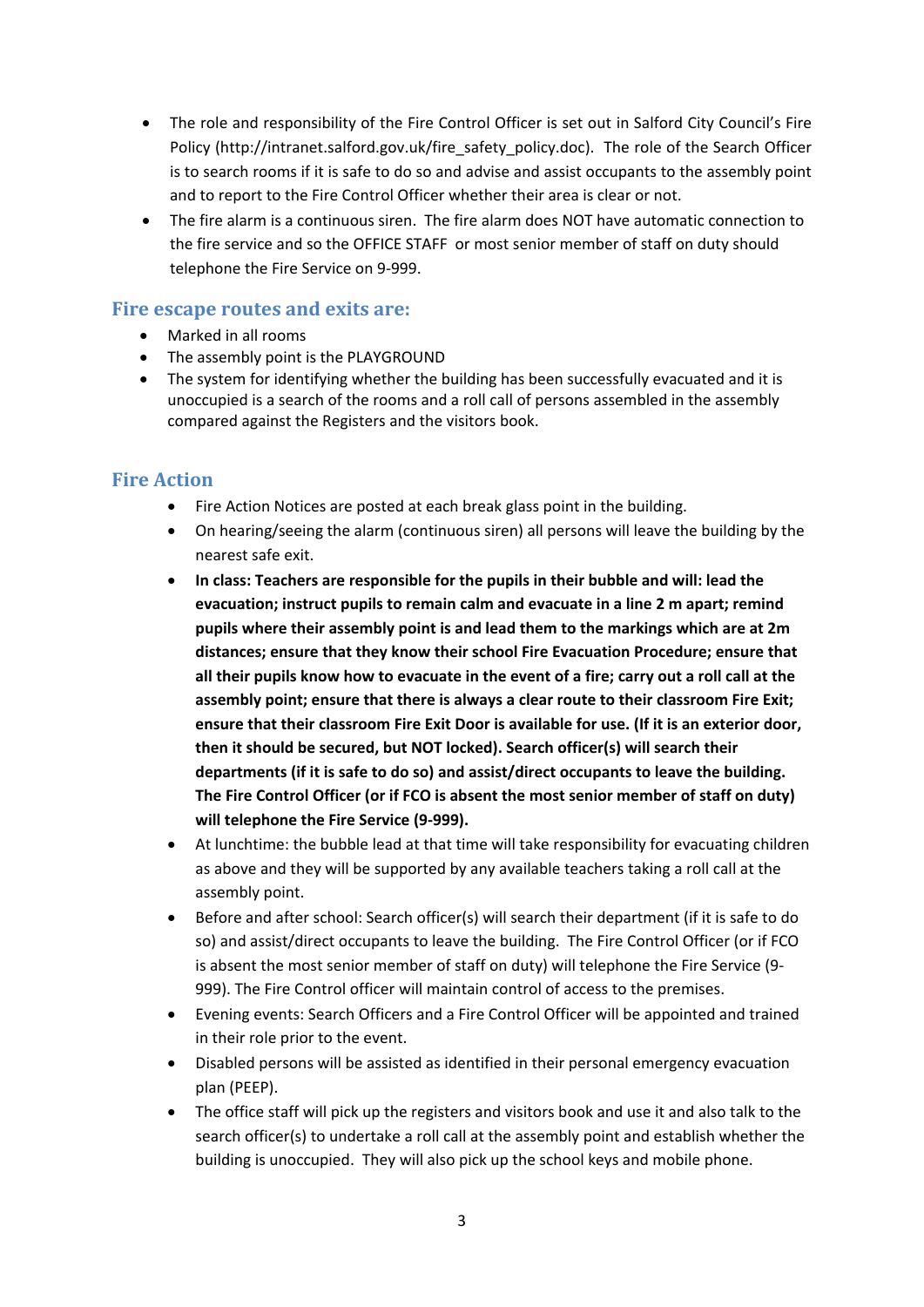- The role and responsibility of the Fire Control Officer is set out in Salford City Council's Fire Policy (http://intranet.salford.gov.uk/fire\_safety\_policy.doc). The role of the Search Officer is to search rooms if it is safe to do so and advise and assist occupants to the assembly point and to report to the Fire Control Officer whether their area is clear or not.
- The fire alarm is a continuous siren. The fire alarm does NOT have automatic connection to the fire service and so the OFFICE STAFF or most senior member of staff on duty should telephone the Fire Service on 9-999.

#### **Fire escape routes and exits are:**

- Marked in all rooms
- The assembly point is the PLAYGROUND
- The system for identifying whether the building has been successfully evacuated and it is unoccupied is a search of the rooms and a roll call of persons assembled in the assembly compared against the Registers and the visitors book.

# **Fire Action**

- Fire Action Notices are posted at each break glass point in the building.
- On hearing/seeing the alarm (continuous siren) all persons will leave the building by the nearest safe exit.
- **In class: Teachers are responsible for the pupils in their bubble and will: lead the evacuation; instruct pupils to remain calm and evacuate in a line 2 m apart; remind pupils where their assembly point is and lead them to the markings which are at 2m distances; ensure that they know their school Fire Evacuation Procedure; ensure that all their pupils know how to evacuate in the event of a fire; carry out a roll call at the assembly point; ensure that there is always a clear route to their classroom Fire Exit; ensure that their classroom Fire Exit Door is available for use. (If it is an exterior door, then it should be secured, but NOT locked). Search officer(s) will search their departments (if it is safe to do so) and assist/direct occupants to leave the building. The Fire Control Officer (or if FCO is absent the most senior member of staff on duty) will telephone the Fire Service (9-999).**
- At lunchtime: the bubble lead at that time will take responsibility for evacuating children as above and they will be supported by any available teachers taking a roll call at the assembly point.
- Before and after school: Search officer(s) will search their department (if it is safe to do so) and assist/direct occupants to leave the building. The Fire Control Officer (or if FCO is absent the most senior member of staff on duty) will telephone the Fire Service (9- 999). The Fire Control officer will maintain control of access to the premises.
- Evening events: Search Officers and a Fire Control Officer will be appointed and trained in their role prior to the event.
- Disabled persons will be assisted as identified in their personal emergency evacuation plan (PEEP).
- The office staff will pick up the registers and visitors book and use it and also talk to the search officer(s) to undertake a roll call at the assembly point and establish whether the building is unoccupied. They will also pick up the school keys and mobile phone.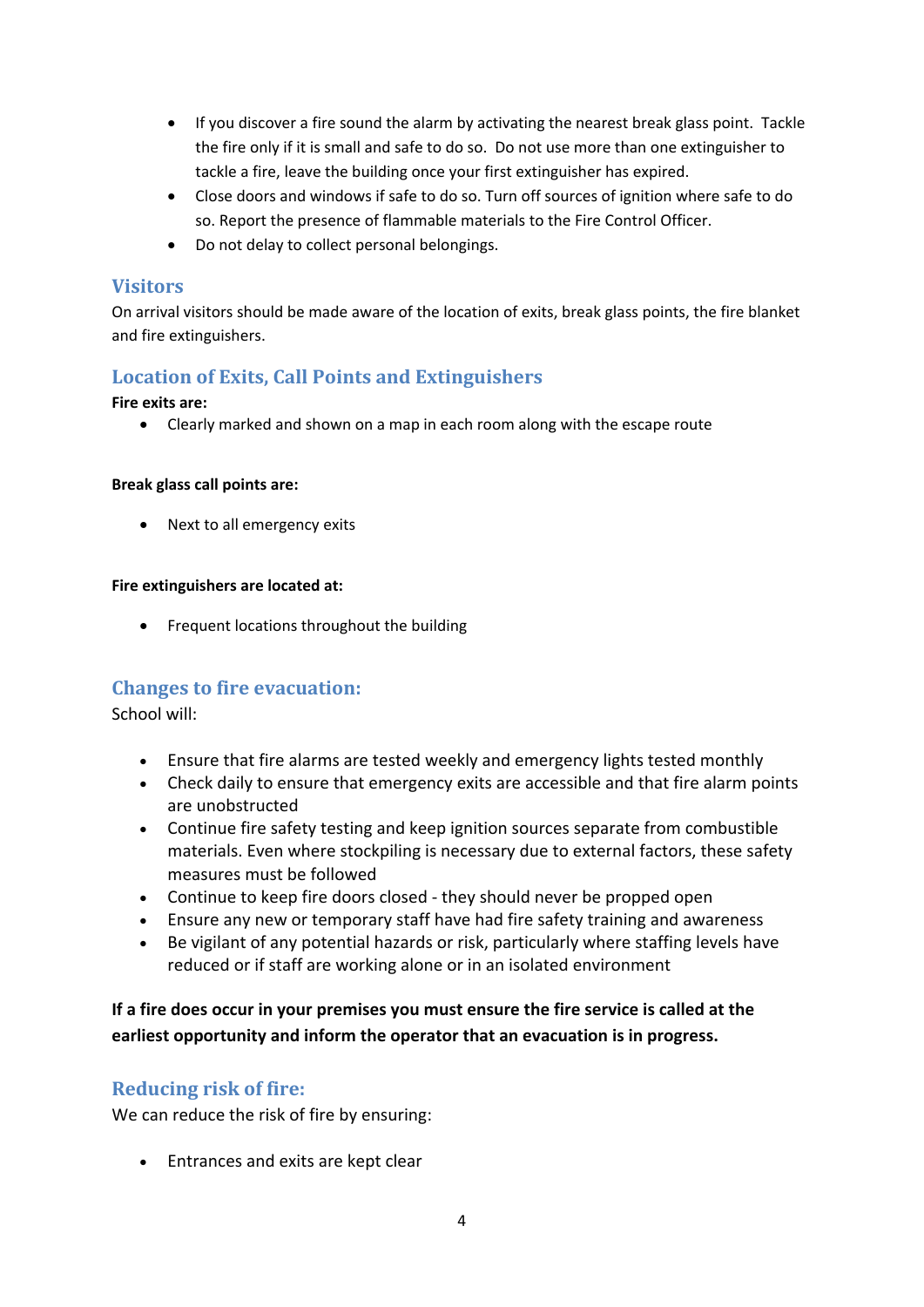- If you discover a fire sound the alarm by activating the nearest break glass point. Tackle the fire only if it is small and safe to do so. Do not use more than one extinguisher to tackle a fire, leave the building once your first extinguisher has expired.
- Close doors and windows if safe to do so. Turn off sources of ignition where safe to do so. Report the presence of flammable materials to the Fire Control Officer.
- Do not delay to collect personal belongings.

#### **Visitors**

On arrival visitors should be made aware of the location of exits, break glass points, the fire blanket and fire extinguishers.

# **Location of Exits, Call Points and Extinguishers**

#### **Fire exits are:**

• Clearly marked and shown on a map in each room along with the escape route

#### **Break glass call points are:**

• Next to all emergency exits

#### **Fire extinguishers are located at:**

• Frequent locations throughout the building

#### **Changes to fire evacuation:**

School will:

- Ensure that fire alarms are tested weekly and emergency lights tested monthly
- Check daily to ensure that emergency exits are accessible and that fire alarm points are unobstructed
- Continue fire safety testing and keep ignition sources separate from combustible materials. Even where stockpiling is necessary due to external factors, these safety measures must be followed
- Continue to keep fire doors closed they should never be propped open
- Ensure any new or temporary staff have had fire safety training and awareness
- Be vigilant of any potential hazards or risk, particularly where staffing levels have reduced or if staff are working alone or in an isolated environment

**If a fire does occur in your premises you must ensure the fire service is called at the earliest opportunity and inform the operator that an evacuation is in progress.**

# **Reducing risk of fire:**

We can reduce the risk of fire by ensuring:

• Entrances and exits are kept clear